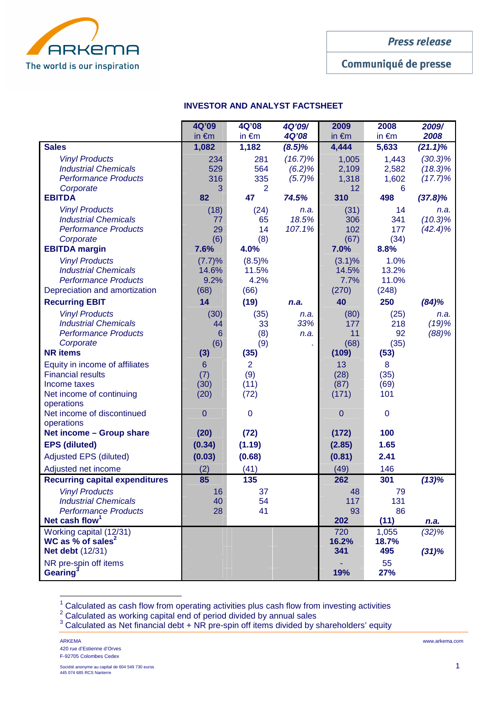

# Communiqué de presse

## **INVESTOR AND ANALYST FACTSHEET**

|                                          | 4Q'09           | 4Q'08           | 4Q'09/       | 2009            | 2008            | 2009/      |
|------------------------------------------|-----------------|-----------------|--------------|-----------------|-----------------|------------|
|                                          | in $\epsilon$ m | in $\epsilon$ m | <b>4Q'08</b> | in $\epsilon$ m | in $\epsilon$ m | 2008       |
| <b>Sales</b>                             | 1,082           | 1,182           | $(8.5)\%$    | 4,444           | 5,633           | $(21.1)\%$ |
| <b>Vinyl Products</b>                    | 234             | 281             | $(16.7)\%$   | 1,005           | 1,443           | $(30.3)\%$ |
| <b>Industrial Chemicals</b>              | 529             | 564             | (6.2)%       | 2,109           | 2,582           | $(18.3)\%$ |
| <b>Performance Products</b>              | 316             | 335             | (5.7)%       | 1,318           | 1,602           | $(17.7)\%$ |
| Corporate                                | 3               | 2               |              | 12              | 6               |            |
| <b>EBITDA</b>                            | 82              | 47              | 74.5%        | 310             | 498             | $(37.8)\%$ |
| <b>Vinyl Products</b>                    | (18)            | (24)            | n.a.         | (31)            | 14              | n.a.       |
| <b>Industrial Chemicals</b>              | 77              | 65              | 18.5%        | 306             | 341             | $(10.3)\%$ |
| <b>Performance Products</b>              | 29              | 14              | 107.1%       | 102             | 177             | $(42.4)\%$ |
| Corporate                                | (6)             | (8)             |              | (67)            | (34)            |            |
| <b>EBITDA margin</b>                     | 7.6%            | 4.0%            |              | 7.0%            | 8.8%            |            |
| <b>Vinyl Products</b>                    | (7.7)%          | (8.5)%          |              | $(3.1)\%$       | 1.0%            |            |
| <b>Industrial Chemicals</b>              | 14.6%           | 11.5%           |              | 14.5%           | 13.2%           |            |
| <b>Performance Products</b>              | 9.2%            | 4.2%            |              | 7.7%            | 11.0%           |            |
| Depreciation and amortization            | (68)            | (66)            |              | (270)           | (248)           |            |
| <b>Recurring EBIT</b>                    | 14              | (19)            | n.a.         | 40              | 250             | (84)%      |
| <b>Vinyl Products</b>                    | (30)            | (35)            | n.a.         | (80)            | (25)            | n.a.       |
| <b>Industrial Chemicals</b>              | 44              | 33              | 33%          | 177             | 218             | (19)%      |
| <b>Performance Products</b>              | $6\phantom{1}6$ | (8)             | n.a.         | 11              | 92              | (88)%      |
| Corporate                                | (6)             | (9)             |              | (68)            | (35)            |            |
| <b>NR</b> items                          | (3)             | (35)            |              | (109)           | (53)            |            |
| Equity in income of affiliates           | $6\phantom{1}$  | $\overline{2}$  |              | 13              | 8               |            |
| <b>Financial results</b>                 | (7)             | (9)             |              | (28)            | (35)            |            |
| Income taxes                             | (30)            | (11)            |              | (87)            | (69)            |            |
| Net income of continuing                 | (20)            | (72)            |              | (171)           | 101             |            |
| operations<br>Net income of discontinued | $\overline{0}$  | 0               |              | $\overline{0}$  | $\mathbf 0$     |            |
| operations                               |                 |                 |              |                 |                 |            |
| Net income - Group share                 | (20)            | (72)            |              | (172)           | 100             |            |
| <b>EPS (diluted)</b>                     | (0.34)          | (1.19)          |              | (2.85)          | 1.65            |            |
| <b>Adjusted EPS (diluted)</b>            | (0.03)          | (0.68)          |              | (0.81)          | 2.41            |            |
| Adjusted net income                      | (2)             | (41)            |              | (49)            | 146             |            |
| <b>Recurring capital expenditures</b>    | 85              | 135             |              | 262             | 301             | (13)%      |
| <b>Vinyl Products</b>                    | 16              | 37              |              | 48              | 79              |            |
| <b>Industrial Chemicals</b>              | 40              | 54              |              | 117             | 131             |            |
| <b>Performance Products</b>              | 28              | 41              |              | 93              | 86              |            |
| Net cash flow <sup>1</sup>               |                 |                 |              | 202             | (11)            | n.a.       |
| Working capital (12/31)                  |                 |                 |              | 720             | 1,055           | (32)%      |
| WC as % of sales <sup>2</sup>            |                 |                 |              | 16.2%           | 18.7%           |            |
| <b>Net debt</b> (12/31)                  |                 |                 |              | 341             | 495             | (31)%      |
| NR pre-spin off items                    |                 |                 |              |                 | 55              |            |
| <b>Gearing</b>                           |                 |                 |              | 19%             | 27%             |            |

 $^1$  Calculated as cash flow from operating activities plus cash flow from investing activities  $^2$  Calculated as working capital end of period divided by annual sales

 $3$  Calculated as Net financial debt + NR pre-spin off items divided by shareholders' equity

ARKEMA www.arkema.com 420 rue d'Estienne d'Orves F-92705 Colombes Cedex

 $\overline{a}$ 

Société anonyme au capital de 604 549 730 euros **1 anos 1 anos 1 anos 1 anos 1 anos 1 anos 1 anos 1 anos 1 anos**<br>445 074 685 RCS Nanterre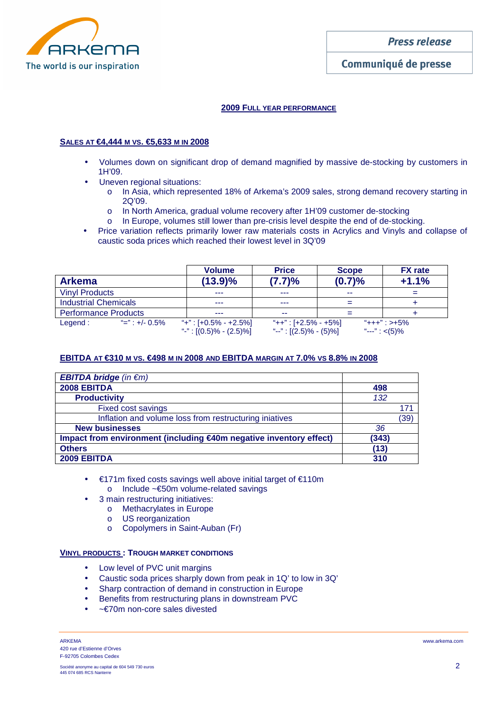

## **2009 FULL YEAR PERFORMANCE**

## **SALES AT €4,444 M VS. €5,633 M IN 2008**

- Volumes down on significant drop of demand magnified by massive de-stocking by customers in 1H'09.
- Uneven regional situations:
	- o In Asia, which represented 18% of Arkema's 2009 sales, strong demand recovery starting in 2Q'09.
	- o In North America, gradual volume recovery after 1H'09 customer de-stocking
	- o In Europe, volumes still lower than pre-crisis level despite the end of de-stocking.
- Price variation reflects primarily lower raw materials costs in Acrylics and Vinyls and collapse of caustic soda prices which reached their lowest level in 3Q'09

|                                        | <b>Volume</b> |                            | <b>Price</b>              | <b>Scope</b> | <b>FX</b> rate    |  |
|----------------------------------------|---------------|----------------------------|---------------------------|--------------|-------------------|--|
| <b>Arkema</b>                          |               | $(13.9)\%$                 | (7.7)%                    | (0.7)%       | $+1.1%$           |  |
| <b>Vinyl Products</b>                  |               | ---                        | ---                       | --           |                   |  |
| <b>Industrial Chemicals</b>            |               | ---                        | ---                       |              |                   |  |
| <b>Performance Products</b>            |               | ---                        | --                        |              |                   |  |
| $\frac{1}{2}$ =" : +/- 0.5%<br>Legend: |               | "+": $[+0.5\% - +2.5\%]$   | "++" : [+2.5% - +5%]      |              | $"+++"$ : >+5%    |  |
|                                        |               | "-": $[(0.5)\% - (2.5)\%]$ | "--": $[(2.5)\% - (5)\%]$ |              | "---": $\lt(5)\%$ |  |

## **EBITDA AT €310 M VS. €498 M IN 2008 AND EBITDA MARGIN AT 7.0% VS 8.8% IN 2008**

| <b>EBITDA bridge</b> (in $\notin$ m)                               |       |      |
|--------------------------------------------------------------------|-------|------|
| 2008 EBITDA                                                        | 498   |      |
| <b>Productivity</b>                                                | 132   |      |
| <b>Fixed cost savings</b>                                          |       | 171  |
| Inflation and volume loss from restructuring injatives             |       | (39) |
| <b>New businesses</b>                                              | 36    |      |
| Impact from environment (including €40m negative inventory effect) | (343) |      |
| <b>Others</b>                                                      | (13)  |      |
| 2009 EBITDA                                                        | 310   |      |

- €171m fixed costs savings well above initial target of €110m o Include ~€50m volume-related savings
	- 3 main restructuring initiatives:
		- o Methacrylates in Europe
		- o US reorganization
		- o Copolymers in Saint-Auban (Fr)

#### **VINYL PRODUCTS : TROUGH MARKET CONDITIONS**

- Low level of PVC unit margins
- Caustic soda prices sharply down from peak in 1Q' to low in 3Q'
- Sharp contraction of demand in construction in Europe
- Benefits from restructuring plans in downstream PVC
- ~€70m non-core sales divested

ARKEMA www.arkema.com 420 rue d'Estienne d'Orves F-92705 Colombes Cedex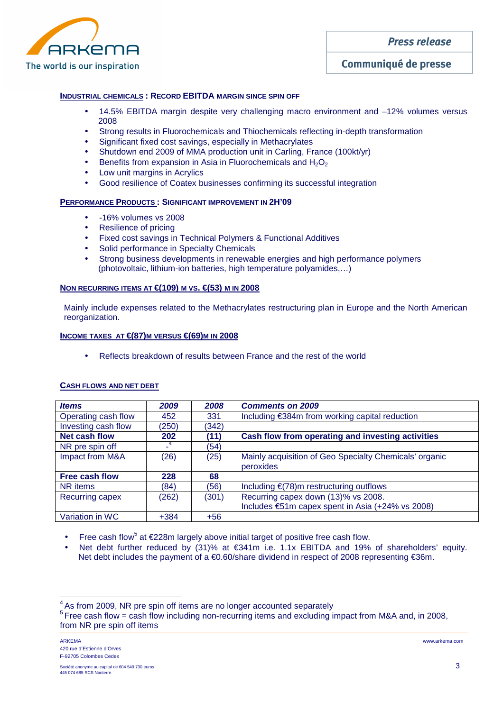

# Communiqué de presse

## **INDUSTRIAL CHEMICALS : RECORD EBITDA MARGIN SINCE SPIN OFF**

- 14.5% EBITDA margin despite very challenging macro environment and  $-12\%$  volumes versus 2008
- Strong results in Fluorochemicals and Thiochemicals reflecting in-depth transformation
- Significant fixed cost savings, especially in Methacrylates
- Shutdown end 2009 of MMA production unit in Carling, France (100kt/yr)
- Benefits from expansion in Asia in Fluorochemicals and  $H_2O_2$
- Low unit margins in Acrylics
- Good resilience of Coatex businesses confirming its successful integration

#### **PERFORMANCE PRODUCTS : SIGNIFICANT IMPROVEMENT IN 2H'09**

- -16% volumes vs 2008
- Resilience of pricing
- Fixed cost savings in Technical Polymers & Functional Additives
- Solid performance in Specialty Chemicals
- Strong business developments in renewable energies and high performance polymers (photovoltaic, lithium-ion batteries, high temperature polyamides,…)

## **NON RECURRING ITEMS AT €(109) M VS. €(53) M IN 2008**

Mainly include expenses related to the Methacrylates restructuring plan in Europe and the North American reorganization.

#### **INCOME TAXES AT €(87)M VERSUS €(69)M IN 2008**

• Reflects breakdown of results between France and the rest of the world

| <b>Items</b>          | 2009   | 2008  | <b>Comments on 2009</b>                                             |
|-----------------------|--------|-------|---------------------------------------------------------------------|
| Operating cash flow   | 452    | 331   | Including €384m from working capital reduction                      |
| Investing cash flow   | (250)  | (342) |                                                                     |
| <b>Net cash flow</b>  | 202    | (11)  | Cash flow from operating and investing activities                   |
| NR pre spin off       |        | (54)  |                                                                     |
| Impact from M&A       | (26)   | (25)  | Mainly acquisition of Geo Specialty Chemicals' organic<br>peroxides |
| <b>Free cash flow</b> | 228    | 68    |                                                                     |
| NR items              | (84)   | (56)  | Including $\epsilon$ (78)m restructuring outflows                   |
| Recurring capex       | (262)  | (301) | Recurring capex down (13)% vs 2008.                                 |
|                       |        |       | Includes €51m capex spent in Asia (+24% vs 2008)                    |
| Variation in WC       | $+384$ | $+56$ |                                                                     |

## **CASH FLOWS AND NET DEBT**

• Free cash flow<sup>5</sup> at  $\epsilon$ 228m largely above initial target of positive free cash flow.

• Net debt further reduced by (31)% at €341m i.e. 1.1x EBITDA and 19% of shareholders' equity. Net debt includes the payment of a €0.60/share dividend in respect of 2008 representing €36m.

 $\overline{a}$ 

<sup>&</sup>lt;sup>4</sup> As from 2009, NR pre spin off items are no longer accounted separately

<sup>&</sup>lt;sup>5</sup>Free cash flow = cash flow including non-recurring items and excluding impact from M&A and, in 2008, from NR pre spin off items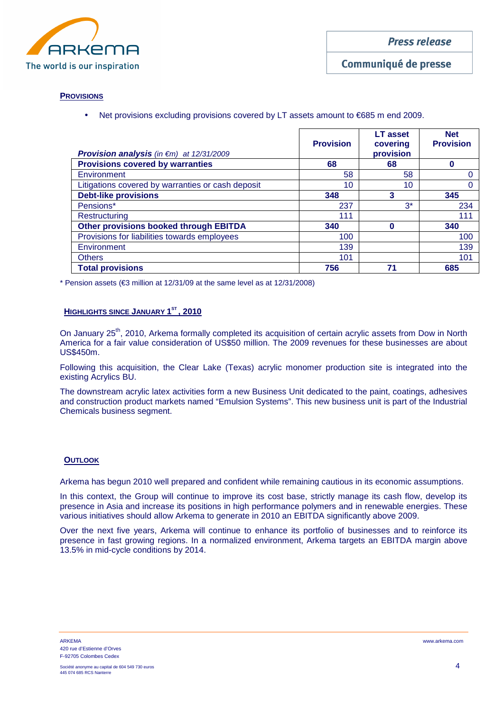

Communiqué de presse

## **PROVISIONS**

• Net provisions excluding provisions covered by LT assets amount to €685 m end 2009.

| <b>Provision analysis</b> (in $\notin$ m) at 12/31/2009 | <b>Provision</b> | <b>LT</b> asset<br>covering<br>provision | <b>Net</b><br><b>Provision</b> |
|---------------------------------------------------------|------------------|------------------------------------------|--------------------------------|
| <b>Provisions covered by warranties</b>                 | 68               | 68                                       |                                |
| Environment                                             | 58               | 58                                       |                                |
| Litigations covered by warranties or cash deposit       | 10               | 10                                       | O                              |
| <b>Debt-like provisions</b>                             | 348              | 3                                        | 345                            |
| Pensions*                                               | 237              | $3^*$                                    | 234                            |
| Restructuring                                           | 111              |                                          | 111                            |
| <b>Other provisions booked through EBITDA</b>           | 340              | Ω                                        | 340                            |
| Provisions for liabilities towards employees            | 100              |                                          | 100                            |
| Environment                                             | 139              |                                          | 139                            |
| <b>Others</b>                                           | 101              |                                          | 101                            |
| <b>Total provisions</b>                                 | 756              | 71                                       | 685                            |

\* Pension assets (€3 million at 12/31/09 at the same level as at 12/31/2008)

#### **HIGHLIGHTS SINCE JANUARY 1 ST , 2010**

On January 25<sup>th</sup>, 2010, Arkema formally completed its acquisition of certain acrylic assets from Dow in North America for a fair value consideration of US\$50 million. The 2009 revenues for these businesses are about US\$450m.

Following this acquisition, the Clear Lake (Texas) acrylic monomer production site is integrated into the existing Acrylics BU.

The downstream acrylic latex activities form a new Business Unit dedicated to the paint, coatings, adhesives and construction product markets named "Emulsion Systems". This new business unit is part of the Industrial Chemicals business segment.

## **OUTLOOK**

Arkema has begun 2010 well prepared and confident while remaining cautious in its economic assumptions.

In this context, the Group will continue to improve its cost base, strictly manage its cash flow, develop its presence in Asia and increase its positions in high performance polymers and in renewable energies. These various initiatives should allow Arkema to generate in 2010 an EBITDA significantly above 2009.

Over the next five years, Arkema will continue to enhance its portfolio of businesses and to reinforce its presence in fast growing regions. In a normalized environment, Arkema targets an EBITDA margin above 13.5% in mid-cycle conditions by 2014.